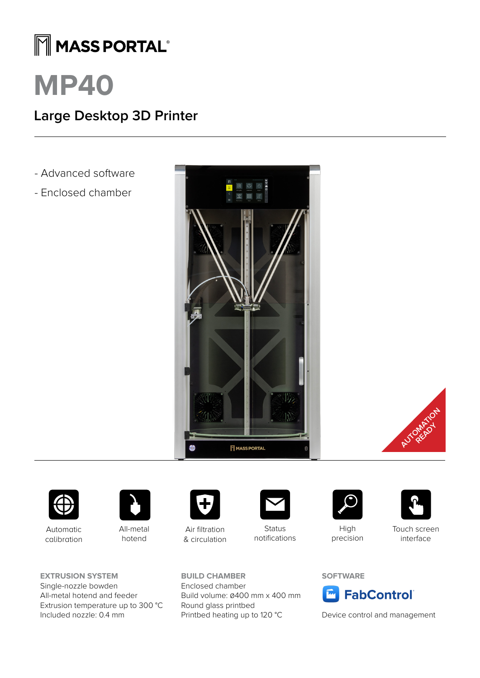## MMASS PORTAL®

# **MP40**

### **Large Desktop 3D Printer**

- Advanced software
- Enclosed chamber







Automatic calibration



All-metal hotend

**EXTRUSION SYSTEM** Single-nozzle bowden All-metal hotend and feeder Extrusion temperature up to 300 °C Included nozzle: 0.4 mm



Air filtration & circulation

**BUILD CHAMBER** Enclosed chamber

Round glass printbed

Build volume: 0400 mm x 400 mm

Printbed heating up to 120 °C



**Status** notifications



High precision



Touch screen interface

#### **SOFTWARE**



Device control and management